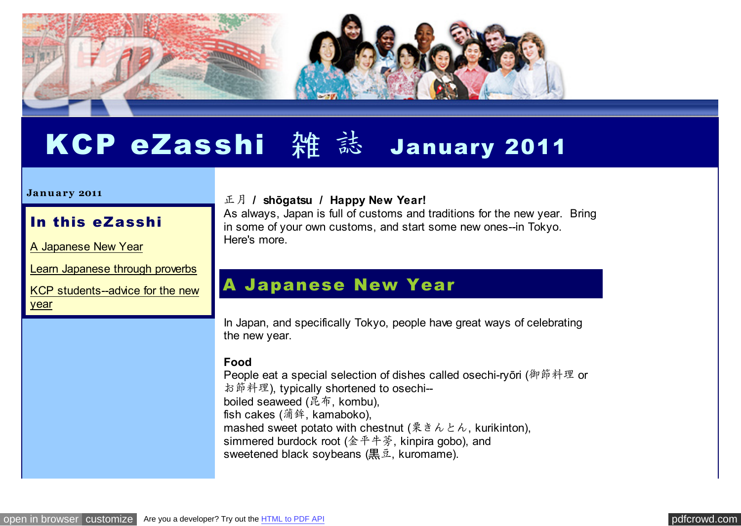

# KCP eZasshi 雑 誌 January 2011

#### **Ja n u a ry 2011**

#### In this eZasshi

[A Japanese New Year](http://pdfcrowd.com/redirect/?url=http%3a%2f%2farchive.constantcontact.com%2ffs061%2f1102771164575%2farchive%2f1104170087024.html%23LETTER.BLOCK6&id=in-110621000320-3b9c0fb0)

[Learn Japanese through proverbs](http://pdfcrowd.com/redirect/?url=http%3a%2f%2farchive.constantcontact.com%2ffs061%2f1102771164575%2farchive%2f1104170087024.html%23LETTER.BLOCK9&id=in-110621000320-3b9c0fb0)

[KCP students--advice for the new](http://pdfcrowd.com/redirect/?url=http%3a%2f%2farchive.constantcontact.com%2ffs061%2f1102771164575%2farchive%2f1104170087024.html%23LETTER.BLOCK10&id=in-110621000320-3b9c0fb0) year

#### 正月 **/ shōgatsu / Happy New Year!**

As always, Japan is full of customs and traditions for the new year. Bring in some of your own customs, and start some new ones--in Tokyo. Here's more.

### A Japanese New Year

In Japan, and specifically Tokyo, people have great ways of celebrating the new year.

#### **Food**

People eat a special selection of dishes called osechi-ryōri (御節料理 or お節料理), typically shortened to osechi- boiled seaweed (昆布, kombu), fish cakes (蒲鉾, kamaboko), mashed sweet potato with chestnut (栗きんとん, kurikinton), simmered burdock root (金平牛蒡, kinpira gobo), and sweetened black soybeans (黒豆, kuromame).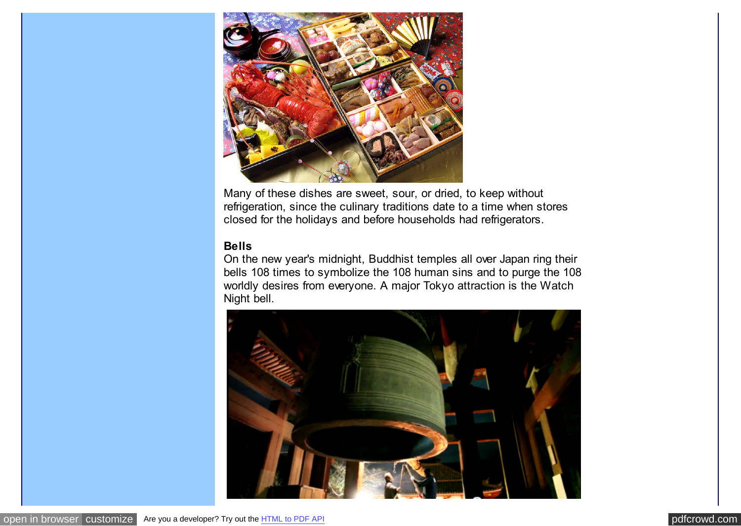

Many of these dishes are sweet, sour, or dried, to keep without refrigeration, since the culinary traditions date to a time when stores closed for the holidays and before households had refrigerators.

#### **Bells**

On the new year's midnight, Buddhist temples all over Japan ring their bells 108 times to symbolize the 108 human sins and to purge the 108 worldly desires from everyone. A major Tokyo attraction is the Watch Night bell.

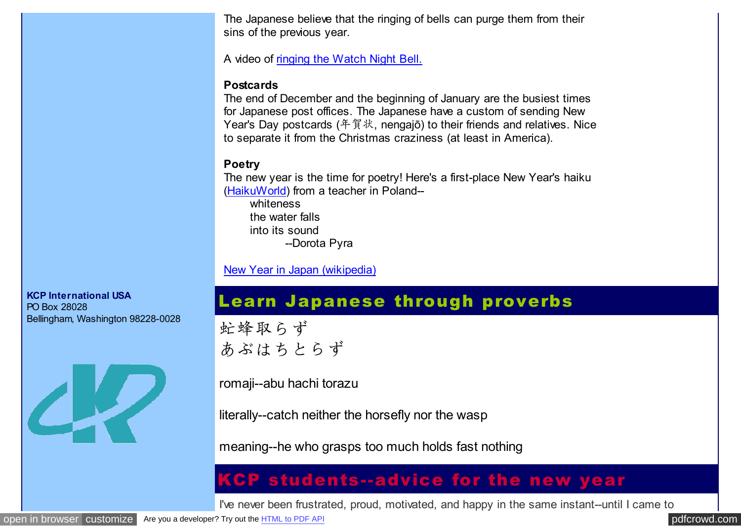The Japanese believe that the ringing of bells can purge them from their sins of the previous year.

A video of [ringing the Watch Night Bell.](http://pdfcrowd.com/redirect/?url=http%3a%2f%2fwww.youtube.com%2fwatch%3fv%3dLzS_ujF0oyA&id=in-110621000320-3b9c0fb0)

#### **Postcards**

The end of December and the beginning of January are the busiest times for Japanese post offices. The Japanese have a custom of sending New Year's Day postcards (年賀状, nengajō) to their friends and relatives. Nice to separate it from the Christmas craziness (at least in America).

#### **Poetry**

The new year is the time for poetry! Here's a first-place New Year's haiku [\(HaikuWorld\)](http://pdfcrowd.com/redirect/?url=http%3a%2f%2fhaikuworld.org%2f&id=in-110621000320-3b9c0fb0) from a teacher in Poland--

whiteness the water falls into its sound --Dorota Pyra

[New Year in Japan \(wikipedia\)](http://pdfcrowd.com/redirect/?url=http%3a%2f%2fen.wikipedia.org%2fwiki%2fJapanese_New_Year&id=in-110621000320-3b9c0fb0)

## Learn Japanese through proverbs

虻蜂取らず あぶはちとらず

romaji--abu hachi torazu

literally--catch neither the horsefly nor the wasp

meaning--he who grasps too much holds fast nothing

## KCP students--advice for the new year

I've never been frustrated, proud, motivated, and happy in the same instant--until I came to

**KCP International USA**

Bellingham, Washington 98228-0028

PO Box 28028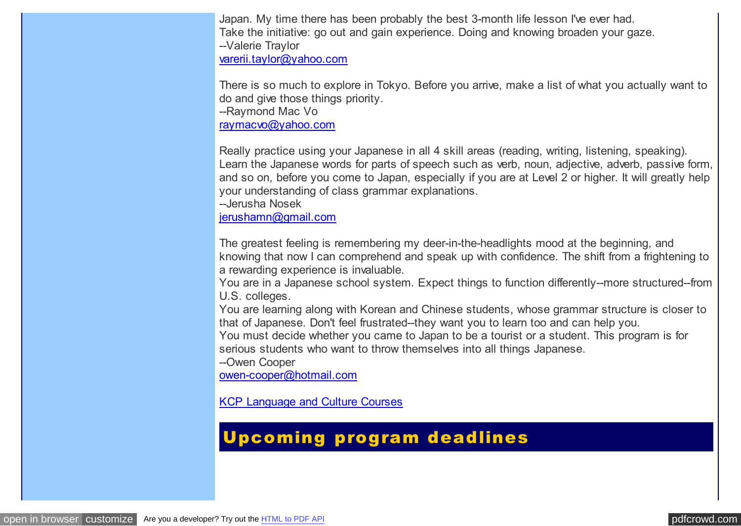Japan. My time there has been probably the best 3-month life lesson I've ever had. Take the initiative: go out and gain experience. Doing and knowing broaden your gaze. --Valerie Traylor [varerii.taylor@yahoo.com](mailto:varerii.taylor@yahoo.com)

There is so much to explore in Tokyo. Before you arrive, make a list of what you actually want to do and give those things priority.

--Raymond Mac Vo

[raymacvo@yahoo.com](mailto:raymacvo@yahoo.com)

Really practice using your Japanese in all 4 skill areas (reading, writing, listening, speaking). Learn the Japanese words for parts of speech such as verb, noun, adjective, adverb, passive form, and so on, before you come to Japan, especially if you are at Level 2 or higher. It will greatly help your understanding of class grammar explanations.

--Jerusha Nosek

[jerushamn@gmail.com](mailto:jerushamn@gmail.com)

The greatest feeling is remembering my deer-in-the-headlights mood at the beginning, and knowing that now I can comprehend and speak up with confidence. The shift from a frightening to a rewarding experience is invaluable.

You are in a Japanese school system. Expect things to function differently--more structured--from U.S. colleges.

You are learning along with Korean and Chinese students, whose grammar structure is closer to that of Japanese. Don't feel frustrated--they want you to learn too and can help you.

You must decide whether you came to Japan to be a tourist or a student. This program is for serious students who want to throw themselves into all things Japanese.

--Owen Cooper

[owen-cooper@hotmail.com](mailto:owen-cooper@hotmail.com)

[KCP Language and Culture Courses](http://pdfcrowd.com/redirect/?url=http%3a%2f%2fwww.kcpinternational.com%2fprogram%2fintensive_program.html&id=in-110621000320-3b9c0fb0)

# Upcoming program deadlines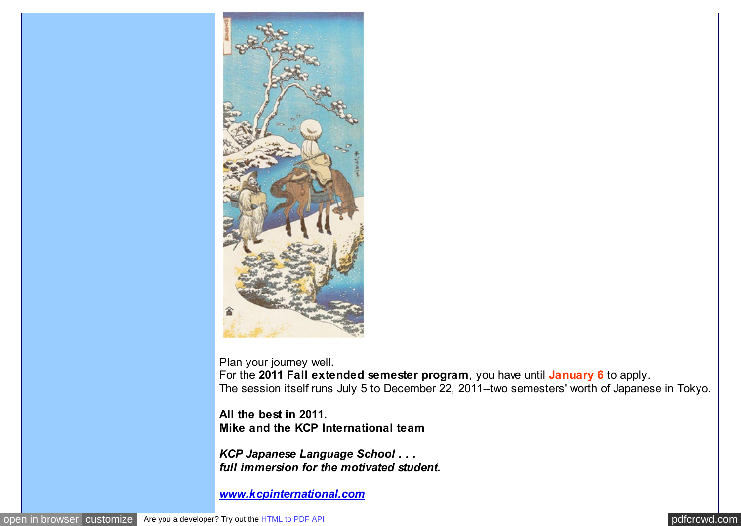

Plan your journey well. For the **2011 Fall extended semester program**, you have until **January 6** to apply. The session itself runs July 5 to December 22, 2011--two semesters' worth of Japanese in Tokyo.

**All the best in 2011. Mike and the KCP International team**

*KCP Japanese Language School . . . full immersion for the motivated student.*

*[www.kcpinternational.com](http://pdfcrowd.com/redirect/?url=http%3a%2f%2fwww.kcpinternational.com%2f&id=in-110621000320-3b9c0fb0)*